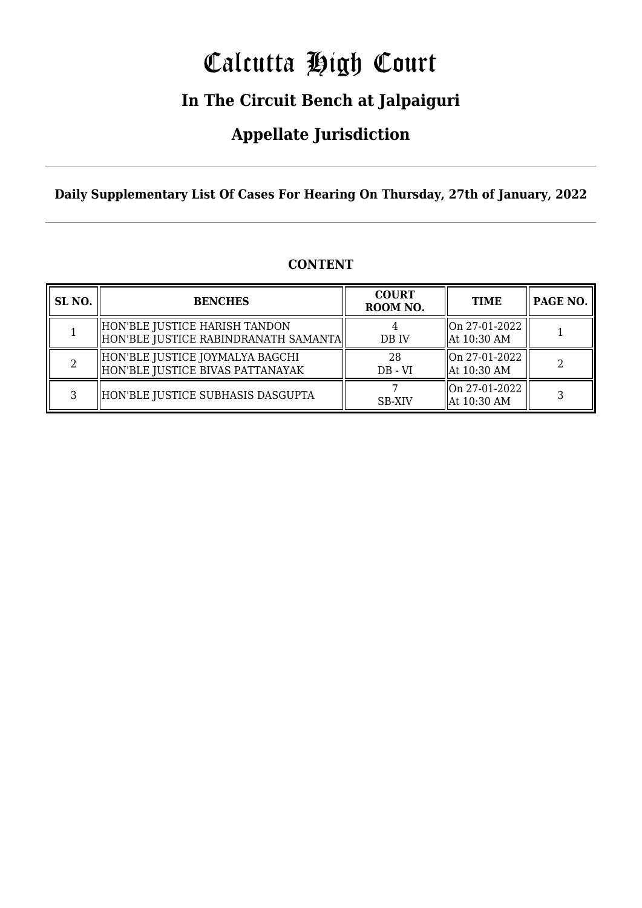# Calcutta High Court

### **In The Circuit Bench at Jalpaiguri**

### **Appellate Jurisdiction**

**Daily Supplementary List Of Cases For Hearing On Thursday, 27th of January, 2022**

| SL <sub>NO.</sub> | <b>BENCHES</b>                                                          | <b>COURT</b><br>ROOM NO. | <b>TIME</b>                    | PAGE NO. |
|-------------------|-------------------------------------------------------------------------|--------------------------|--------------------------------|----------|
|                   | HON'BLE JUSTICE HARISH TANDON<br>  HON'BLE JUSTICE RABINDRANATH SAMANTA | DB IV                    | On 27-01-2022<br>  At 10:30 AM |          |
|                   | HON'BLE JUSTICE JOYMALYA BAGCHI<br>  HON'BLE JUSTICE BIVAS PATTANAYAK   | 28<br>$DB - VI$          | On 27-01-2022<br>  At 10:30 AM |          |
| ર                 | HON'BLE JUSTICE SUBHASIS DASGUPTA                                       | <b>SB-XIV</b>            | On 27-01-2022<br>  At 10:30 AM |          |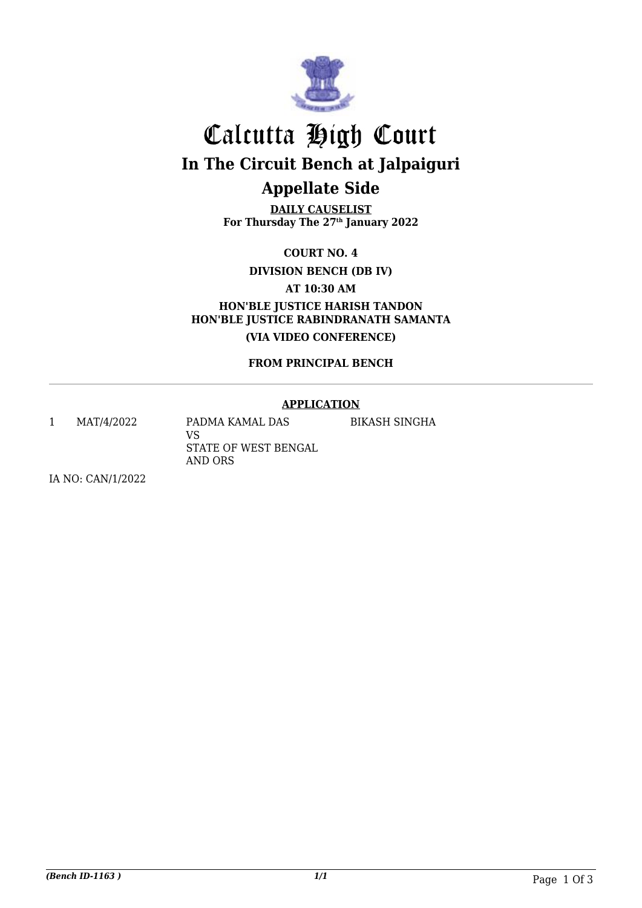

## Calcutta High Court **In The Circuit Bench at Jalpaiguri Appellate Side**

**DAILY CAUSELIST For Thursday The 27th January 2022**

**COURT NO. 4**

**DIVISION BENCH (DB IV)**

**AT 10:30 AM**

**HON'BLE JUSTICE HARISH TANDON HON'BLE JUSTICE RABINDRANATH SAMANTA (VIA VIDEO CONFERENCE)**

**FROM PRINCIPAL BENCH**

#### **APPLICATION**

BIKASH SINGHA

1 MAT/4/2022 PADMA KAMAL DAS VS

STATE OF WEST BENGAL AND ORS

IA NO: CAN/1/2022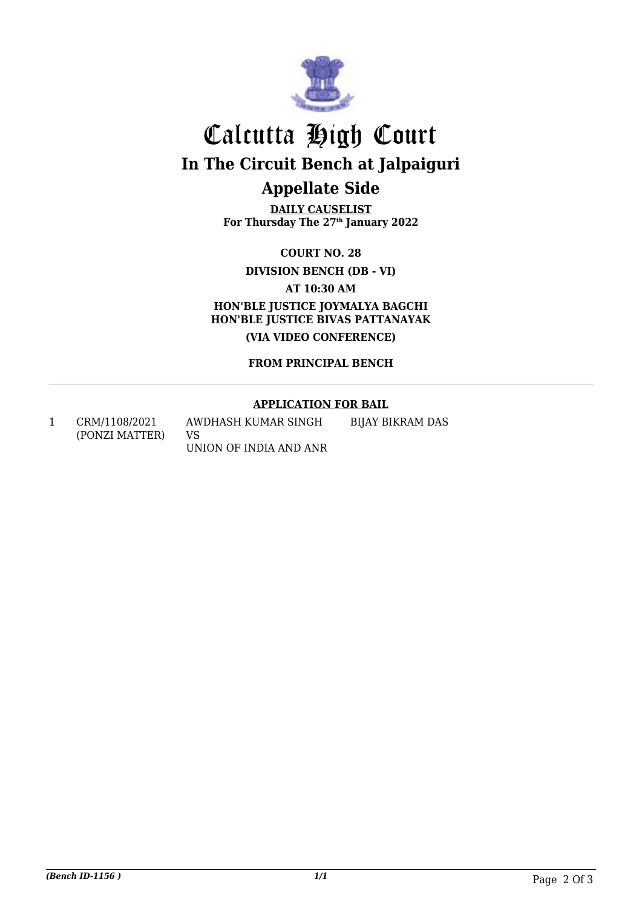

## Calcutta High Court **In The Circuit Bench at Jalpaiguri Appellate Side**

**DAILY CAUSELIST For Thursday The 27th January 2022**

**COURT NO. 28**

**DIVISION BENCH (DB - VI)**

**AT 10:30 AM**

**HON'BLE JUSTICE JOYMALYA BAGCHI HON'BLE JUSTICE BIVAS PATTANAYAK (VIA VIDEO CONFERENCE)**

**FROM PRINCIPAL BENCH**

#### **APPLICATION FOR BAIL**

1 CRM/1108/2021 (PONZI MATTER)

AWDHASH KUMAR SINGH VS UNION OF INDIA AND ANR BIJAY BIKRAM DAS